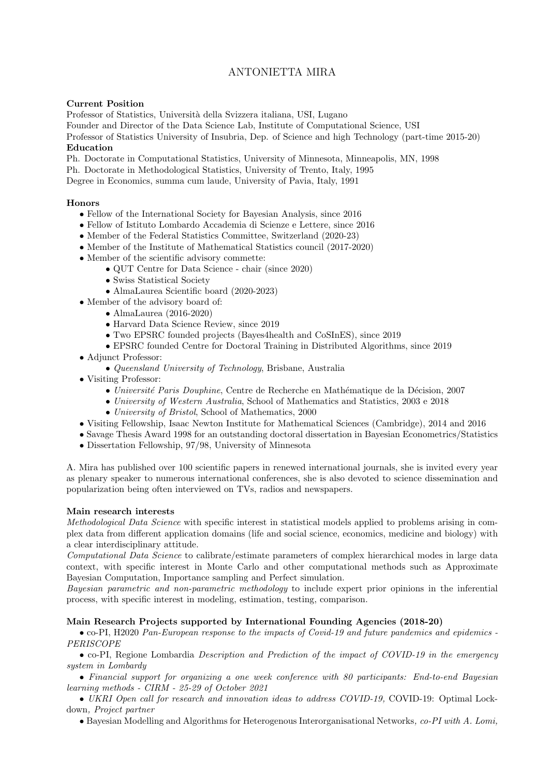# ANTONIETTA MIRA

### Current Position

Professor of Statistics, Università della Svizzera italiana, USI, Lugano

Founder and Director of the Data Science Lab, Institute of Computational Science, USI

Professor of Statistics University of Insubria, Dep. of Science and high Technology (part-time 2015-20) Education

### Ph. Doctorate in Computational Statistics, University of Minnesota, Minneapolis, MN, 1998

Ph. Doctorate in Methodological Statistics, University of Trento, Italy, 1995

Degree in Economics, summa cum laude, University of Pavia, Italy, 1991

## Honors

- Fellow of the International Society for Bayesian Analysis, since 2016
- Fellow of Istituto Lombardo Accademia di Scienze e Lettere, since 2016
- Member of the Federal Statistics Committee, Switzerland (2020-23)
- Member of the Institute of Mathematical Statistics council (2017-2020)
- Member of the scientific advisory commette:
	- QUT Centre for Data Science chair (since 2020)
	- Swiss Statistical Society
	- AlmaLaurea Scientific board (2020-2023)
- Member of the advisory board of:
	- AlmaLaurea (2016-2020)
	- Harvard Data Science Review, since 2019
	- Two EPSRC founded projects (Bayes4health and CoSInES), since 2019
	- EPSRC founded Centre for Doctoral Training in Distributed Algorithms, since 2019
- Adjunct Professor:
	- Queensland University of Technology, Brisbane, Australia
- Visiting Professor:
	- Université Paris Douphine, Centre de Recherche en Mathématique de la Décision, 2007
	- University of Western Australia, School of Mathematics and Statistics, 2003 e 2018
	- University of Bristol, School of Mathematics, 2000
- Visiting Fellowship, Isaac Newton Institute for Mathematical Sciences (Cambridge), 2014 and 2016
- Savage Thesis Award 1998 for an outstanding doctoral dissertation in Bayesian Econometrics/Statistics
- Dissertation Fellowship, 97/98, University of Minnesota

A. Mira has published over 100 scientific papers in renewed international journals, she is invited every year as plenary speaker to numerous international conferences, she is also devoted to science dissemination and popularization being often interviewed on TVs, radios and newspapers.

# Main research interests

Methodological Data Science with specific interest in statistical models applied to problems arising in complex data from different application domains (life and social science, economics, medicine and biology) with a clear interdisciplinary attitude.

Computational Data Science to calibrate/estimate parameters of complex hierarchical modes in large data context, with specific interest in Monte Carlo and other computational methods such as Approximate Bayesian Computation, Importance sampling and Perfect simulation.

Bayesian parametric and non-parametric methodology to include expert prior opinions in the inferential process, with specific interest in modeling, estimation, testing, comparison.

# Main Research Projects supported by International Founding Agencies (2018-20)

• co-PI, H2020 Pan-European response to the impacts of Covid-19 and future pandemics and epidemics - PERISCOPE

• co-PI, Regione Lombardia Description and Prediction of the impact of COVID-19 in the emergency system in Lombardy

• Financial support for organizing a one week conference with 80 participants: End-to-end Bayesian learning methods - CIRM - 25-29 of October 2021

• UKRI Open call for research and innovation ideas to address COVID-19, COVID-19: Optimal Lockdown, Project partner

• Bayesian Modelling and Algorithms for Heterogenous Interorganisational Networks, co-PI with A. Lomi,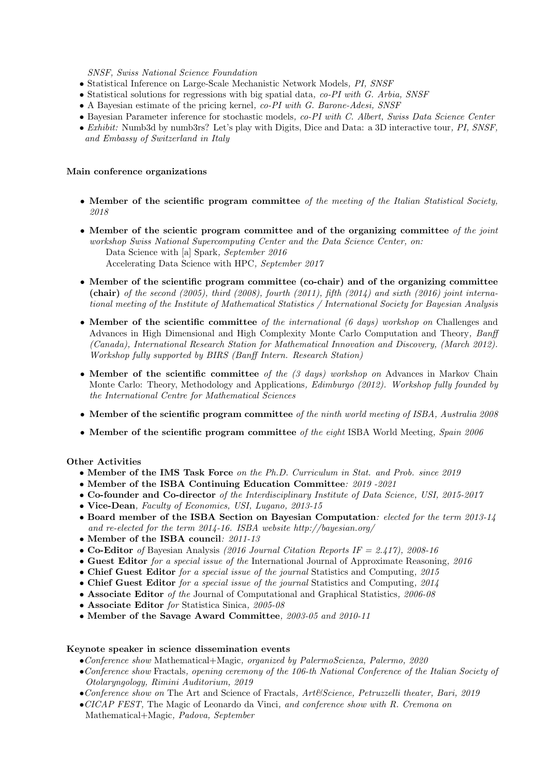SNSF, Swiss National Science Foundation

- Statistical Inference on Large-Scale Mechanistic Network Models, PI, SNSF
- Statistical solutions for regressions with big spatial data, co-PI with G. Arbia, SNSF
- A Bayesian estimate of the pricing kernel, co-PI with G. Barone-Adesi, SNSF
- Bayesian Parameter inference for stochastic models, co-PI with C. Albert, Swiss Data Science Center
- Exhibit: Numb3d by numb3rs? Let's play with Digits, Dice and Data: a 3D interactive tour, PI, SNSF, and Embassy of Switzerland in Italy

#### Main conference organizations

- Member of the scientific program committee of the meeting of the Italian Statistical Society, 2018
- Member of the scientic program committee and of the organizing committee of the joint workshop Swiss National Supercomputing Center and the Data Science Center, on: Data Science with [a] Spark, September 2016 Accelerating Data Science with HPC, September 2017
- Member of the scientific program committee (co-chair) and of the organizing committee (chair) of the second (2005), third (2008), fourth (2011), fifth (2014) and sixth (2016) joint international meeting of the Institute of Mathematical Statistics / International Society for Bayesian Analysis
- Member of the scientific committee of the international  $(6 \text{ days})$  workshop on Challenges and Advances in High Dimensional and High Complexity Monte Carlo Computation and Theory, Banff (Canada), International Research Station for Mathematical Innovation and Discovery, (March 2012). Workshop fully supported by BIRS (Banff Intern. Research Station)
- Member of the scientific committee of the  $(3 \; days)$  workshop on Advances in Markov Chain Monte Carlo: Theory, Methodology and Applications, *Edimburgo (2012). Workshop fully founded by* the International Centre for Mathematical Sciences
- Member of the scientific program committee of the ninth world meeting of ISBA, Australia 2008
- Member of the scientific program committee of the eight ISBA World Meeting, Spain  $2006$

### Other Activities

- Member of the IMS Task Force on the Ph.D. Curriculum in Stat. and Prob. since 2019
- Member of the ISBA Continuing Education Committee: 2019 -2021
- Co-founder and Co-director of the Interdisciplinary Institute of Data Science, USI, 2015-2017
- Vice-Dean, Faculty of Economics, USI, Lugano, 2013-15
- Board member of the ISBA Section on Bayesian Computation: elected for the term 2013-14 and re-elected for the term 2014-16. ISBA website http://bayesian.org/
- Member of the ISBA council: 2011-13
- Co-Editor of Bayesian Analysis (2016 Journal Citation Reports IF = 2.417), 2008-16
- Guest Editor for a special issue of the International Journal of Approximate Reasoning, 2016
- Chief Guest Editor for a special issue of the journal Statistics and Computing, 2015
- Chief Guest Editor for a special issue of the journal Statistics and Computing, 2014
- Associate Editor of the Journal of Computational and Graphical Statistics, 2006-08
- Associate Editor for Statistica Sinica, 2005-08
- Member of the Savage Award Committee, 2003-05 and 2010-11

#### Keynote speaker in science dissemination events

- Conference show Mathematical+Magic, organized by PalermoScienza, Palermo,  $2020$
- •Conference show Fractals, opening ceremony of the 106-th National Conference of the Italian Society of Otolaryngology, Rimini Auditorium, 2019
- •Conference show on The Art and Science of Fractals, Art&Science, Petruzzelli theater, Bari, 2019
- •CICAP FEST, The Magic of Leonardo da Vinci, and conference show with R. Cremona on Mathematical+Magic, Padova, September